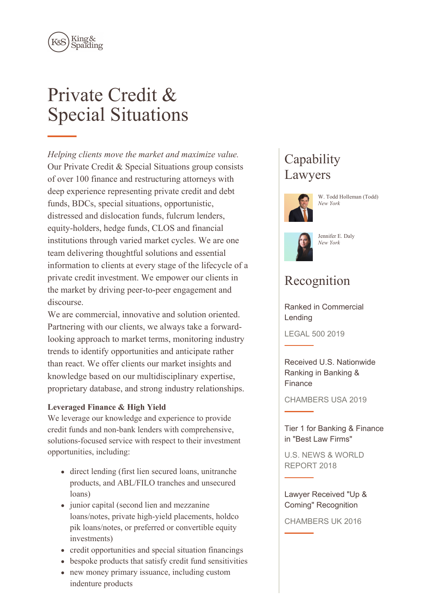

# Private Credit & Special Situations

*Helping clients move the market and maximize value.* Our Private Credit & Special Situations group consists of over 100 finance and restructuring attorneys with deep experience representing private credit and debt funds, BDCs, special situations, opportunistic, distressed and dislocation funds, fulcrum lenders, equity-holders, hedge funds, CLOS and financial institutions through varied market cycles. We are one team delivering thoughtful solutions and essential information to clients at every stage of the lifecycle of a private credit investment. We empower our clients in the market by driving peer-to-peer engagement and discourse.

We are commercial, innovative and solution oriented. Partnering with our clients, we always take a forwardlooking approach to market terms, monitoring industry trends to identify opportunities and anticipate rather than react. We offer clients our market insights and knowledge based on our multidisciplinary expertise, proprietary database, and strong industry relationships.

## **Leveraged Finance & High Yield**

We leverage our knowledge and experience to provide credit funds and non-bank lenders with comprehensive, solutions-focused service with respect to their investment opportunities, including:

- direct lending (first lien secured loans, unitranche products, and ABL/FILO tranches and unsecured loans)
- junior capital (second lien and mezzanine loans/notes, private high-yield placements, holdco pik loans/notes, or preferred or convertible equity investments)
- credit opportunities and special situation financings
- bespoke products that satisfy credit fund sensitivities
- new money primary issuance, including custom indenture products

## **Capability** Lawyers



W. Todd Holleman (Todd) *New York*



#### Jennifer E. Daly *New York*

## Recognition

Ranked in Commercial Lending

LEGAL 500 2019

Received U.S. Nationwide Ranking in Banking & Finance

CHAMBERS USA 2019

Tier 1 for Banking & Finance in "Best Law Firms"

U.S. NEWS & WORLD REPORT 2018

Lawyer Received "Up & Coming" Recognition

CHAMBERS UK 2016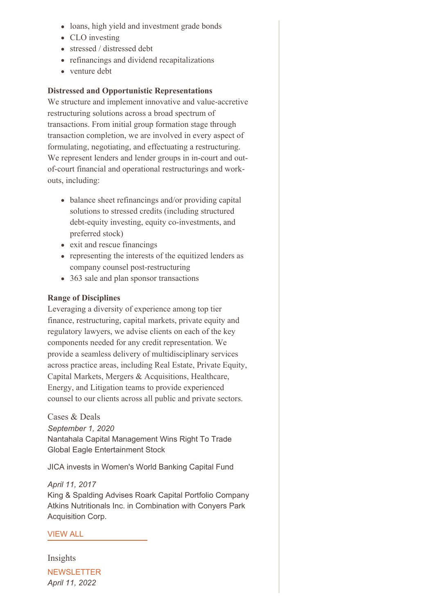- loans, high yield and investment grade bonds
- CLO investing
- stressed / distressed debt
- refinancings and dividend recapitalizations
- venture debt

## **Distressed and Opportunistic Representations**

We structure and implement innovative and value-accretive restructuring solutions across a broad spectrum of transactions. From initial group formation stage through transaction completion, we are involved in every aspect of formulating, negotiating, and effectuating a restructuring. We represent lenders and lender groups in in-court and outof-court financial and operational restructurings and workouts, including:

- balance sheet refinancings and/or providing capital solutions to stressed credits (including structured debt-equity investing, equity co-investments, and preferred stock)
- exit and rescue financings
- representing the interests of the equitized lenders as company counsel post-restructuring
- 363 sale and plan sponsor transactions

## **Range of Disciplines**

Leveraging a diversity of experience among top tier finance, restructuring, capital markets, private equity and regulatory lawyers, we advise clients on each of the key components needed for any credit representation. We provide a seamless delivery of multidisciplinary services across practice areas, including Real Estate, Private Equity, Capital Markets, Mergers & Acquisitions, Healthcare, Energy, and Litigation teams to provide experienced counsel to our clients across all public and private sectors.

Cases & Deals *September 1, 2020* Nantahala Capital Management Wins Right To Trade Global Eagle Entertainment Stock

JICA invests in Women's World Banking Capital Fund

*April 11, 2017* King & Spalding Advises Roark Capital Portfolio Company Atkins Nutritionals Inc. in Combination with Conyers Park Acquisition Corp.

## [VIEW](https://www.kslaw.com/news-and-insights?capability_id=73&locale=en&post_category_id=1&post_type=0) ALL

Insights **NEWSLETTER** *April 11, 2022*